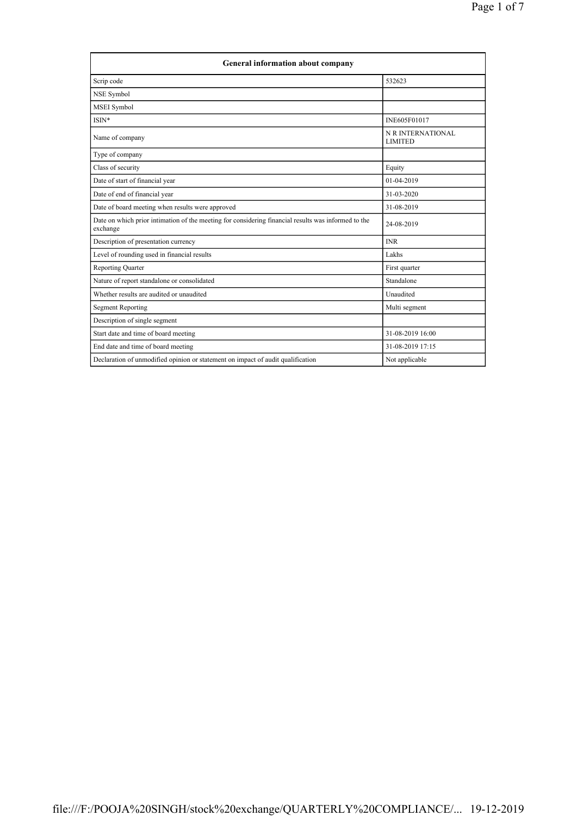| <b>General information about company</b>                                                                        |                                     |  |
|-----------------------------------------------------------------------------------------------------------------|-------------------------------------|--|
| Scrip code                                                                                                      | 532623                              |  |
| NSE Symbol                                                                                                      |                                     |  |
| <b>MSEI</b> Symbol                                                                                              |                                     |  |
| ISIN*                                                                                                           | INE605F01017                        |  |
| Name of company                                                                                                 | N R INTERNATIONAL<br><b>LIMITED</b> |  |
| Type of company                                                                                                 |                                     |  |
| Class of security                                                                                               | Equity                              |  |
| Date of start of financial year                                                                                 | $01-04-2019$                        |  |
| Date of end of financial year                                                                                   | 31-03-2020                          |  |
| Date of board meeting when results were approved                                                                | 31-08-2019                          |  |
| Date on which prior intimation of the meeting for considering financial results was informed to the<br>exchange | 24-08-2019                          |  |
| Description of presentation currency                                                                            | <b>INR</b>                          |  |
| Level of rounding used in financial results                                                                     | Lakhs                               |  |
| <b>Reporting Quarter</b>                                                                                        | First quarter                       |  |
| Nature of report standalone or consolidated                                                                     | Standalone                          |  |
| Whether results are audited or unaudited                                                                        | Unaudited                           |  |
| <b>Segment Reporting</b>                                                                                        | Multi segment                       |  |
| Description of single segment                                                                                   |                                     |  |
| Start date and time of board meeting                                                                            | 31-08-2019 16:00                    |  |
| End date and time of board meeting                                                                              | 31-08-2019 17:15                    |  |
| Declaration of unmodified opinion or statement on impact of audit qualification                                 | Not applicable                      |  |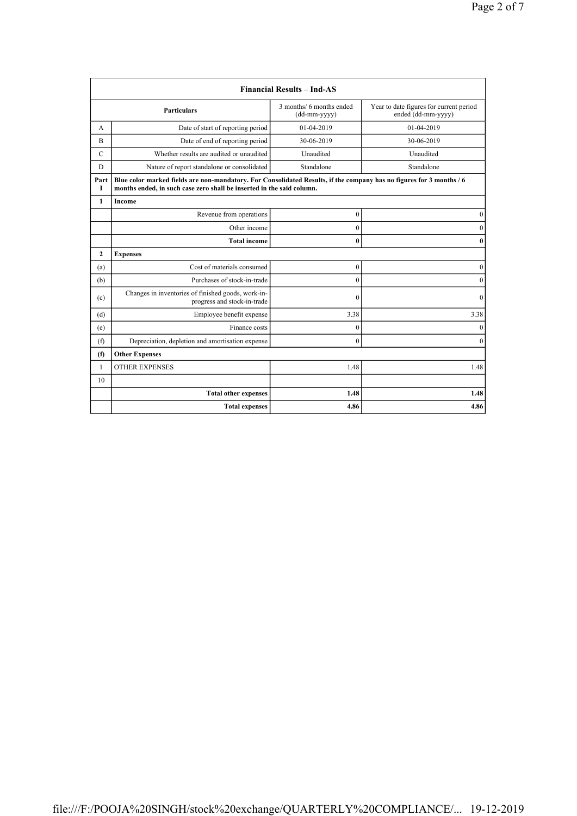| <b>Financial Results - Ind-AS</b> |                                                                                                                                                                                               |                                          |                                                               |
|-----------------------------------|-----------------------------------------------------------------------------------------------------------------------------------------------------------------------------------------------|------------------------------------------|---------------------------------------------------------------|
|                                   | <b>Particulars</b>                                                                                                                                                                            | 3 months/ 6 months ended<br>(dd-mm-yyyy) | Year to date figures for current period<br>ended (dd-mm-yyyy) |
| А                                 | Date of start of reporting period                                                                                                                                                             | 01-04-2019                               | 01-04-2019                                                    |
| B                                 | Date of end of reporting period                                                                                                                                                               | 30-06-2019                               | 30-06-2019                                                    |
| $\mathcal{C}$                     | Whether results are audited or unaudited                                                                                                                                                      | Unaudited                                | Unaudited                                                     |
| D                                 | Nature of report standalone or consolidated                                                                                                                                                   | Standalone                               | Standalone                                                    |
| Part<br>Т                         | Blue color marked fields are non-mandatory. For Consolidated Results, if the company has no figures for 3 months / 6<br>months ended, in such case zero shall be inserted in the said column. |                                          |                                                               |
| $\mathbf{1}$                      | Income                                                                                                                                                                                        |                                          |                                                               |
|                                   | Revenue from operations                                                                                                                                                                       | $\boldsymbol{0}$                         | $\boldsymbol{0}$                                              |
|                                   | Other income                                                                                                                                                                                  | $\mathbf{0}$                             | $\mathbf{0}$                                                  |
|                                   | <b>Total income</b>                                                                                                                                                                           | $\bf{0}$                                 | $\bf{0}$                                                      |
| $\mathbf{2}$                      | <b>Expenses</b>                                                                                                                                                                               |                                          |                                                               |
| (a)                               | Cost of materials consumed                                                                                                                                                                    | $\boldsymbol{0}$                         | $\mathbf{0}$                                                  |
| (b)                               | Purchases of stock-in-trade                                                                                                                                                                   | $\overline{0}$                           | $\boldsymbol{0}$                                              |
| (c)                               | Changes in inventories of finished goods, work-in-<br>progress and stock-in-trade                                                                                                             | $\theta$                                 | $\mathbf{0}$                                                  |
| (d)                               | Employee benefit expense                                                                                                                                                                      | 3.38                                     | 3.38                                                          |
| (e)                               | Finance costs                                                                                                                                                                                 | $\mathbf{0}$                             | $\mathbf{0}$                                                  |
| (f)                               | Depreciation, depletion and amortisation expense                                                                                                                                              | $\overline{0}$                           | $\mathbf{0}$                                                  |
| (f)                               | <b>Other Expenses</b>                                                                                                                                                                         |                                          |                                                               |
| $\mathbf{1}$                      | <b>OTHER EXPENSES</b>                                                                                                                                                                         | 1.48                                     | 1.48                                                          |
| 10                                |                                                                                                                                                                                               |                                          |                                                               |
|                                   | <b>Total other expenses</b>                                                                                                                                                                   | 1.48                                     | 1.48                                                          |
|                                   | <b>Total expenses</b>                                                                                                                                                                         | 4.86                                     | 4.86                                                          |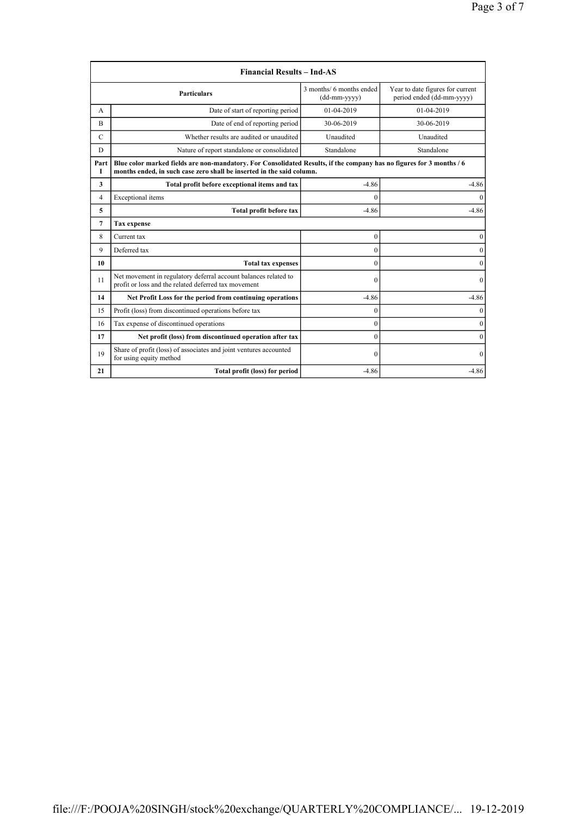|                                                                                                    | <b>Financial Results - Ind-AS</b>                                                                                                                                                             |                                          |                                                               |  |
|----------------------------------------------------------------------------------------------------|-----------------------------------------------------------------------------------------------------------------------------------------------------------------------------------------------|------------------------------------------|---------------------------------------------------------------|--|
|                                                                                                    | <b>Particulars</b>                                                                                                                                                                            | 3 months/ 6 months ended<br>(dd-mm-yyyy) | Year to date figures for current<br>period ended (dd-mm-yyyy) |  |
| A                                                                                                  | Date of start of reporting period                                                                                                                                                             | $01-04-2019$                             | 01-04-2019                                                    |  |
| B                                                                                                  | Date of end of reporting period                                                                                                                                                               | 30-06-2019                               | 30-06-2019                                                    |  |
| Whether results are audited or unaudited<br>$\mathcal{C}$                                          |                                                                                                                                                                                               | Unaudited                                | Unaudited                                                     |  |
| D                                                                                                  | Nature of report standalone or consolidated                                                                                                                                                   | Standalone                               | Standalone                                                    |  |
| Part<br>Т                                                                                          | Blue color marked fields are non-mandatory. For Consolidated Results, if the company has no figures for 3 months / 6<br>months ended, in such case zero shall be inserted in the said column. |                                          |                                                               |  |
| 3                                                                                                  | Total profit before exceptional items and tax                                                                                                                                                 | $-4.86$                                  | $-4.86$                                                       |  |
| 4                                                                                                  | Exceptional items                                                                                                                                                                             | $\theta$                                 | 0                                                             |  |
| 5                                                                                                  | Total profit before tax                                                                                                                                                                       | $-4.86$                                  | $-4.86$                                                       |  |
| 7                                                                                                  | <b>Tax expense</b>                                                                                                                                                                            |                                          |                                                               |  |
| 8                                                                                                  | Current tax                                                                                                                                                                                   | $\mathbf{0}$                             | 0                                                             |  |
| 9                                                                                                  | Deferred tax                                                                                                                                                                                  | $\mathbf{0}$                             | $\theta$                                                      |  |
| 10                                                                                                 | <b>Total tax expenses</b>                                                                                                                                                                     | $\theta$                                 | $\mathbf{0}$                                                  |  |
| 11                                                                                                 | Net movement in regulatory deferral account balances related to<br>profit or loss and the related deferred tax movement                                                                       | $\theta$                                 | $\mathbf{0}$                                                  |  |
| 14                                                                                                 | Net Profit Loss for the period from continuing operations                                                                                                                                     | $-4.86$                                  | $-4.86$                                                       |  |
| 15                                                                                                 | Profit (loss) from discontinued operations before tax                                                                                                                                         | $\theta$                                 | $\theta$                                                      |  |
| 16                                                                                                 | Tax expense of discontinued operations                                                                                                                                                        | $\theta$                                 | $\mathbf{0}$                                                  |  |
| 17                                                                                                 | Net profit (loss) from discontinued operation after tax                                                                                                                                       | $\theta$                                 | $\theta$                                                      |  |
| Share of profit (loss) of associates and joint ventures accounted<br>19<br>for using equity method |                                                                                                                                                                                               | $\Omega$                                 | $\theta$                                                      |  |
| 21                                                                                                 | Total profit (loss) for period                                                                                                                                                                | $-4.86$                                  | $-4.86$                                                       |  |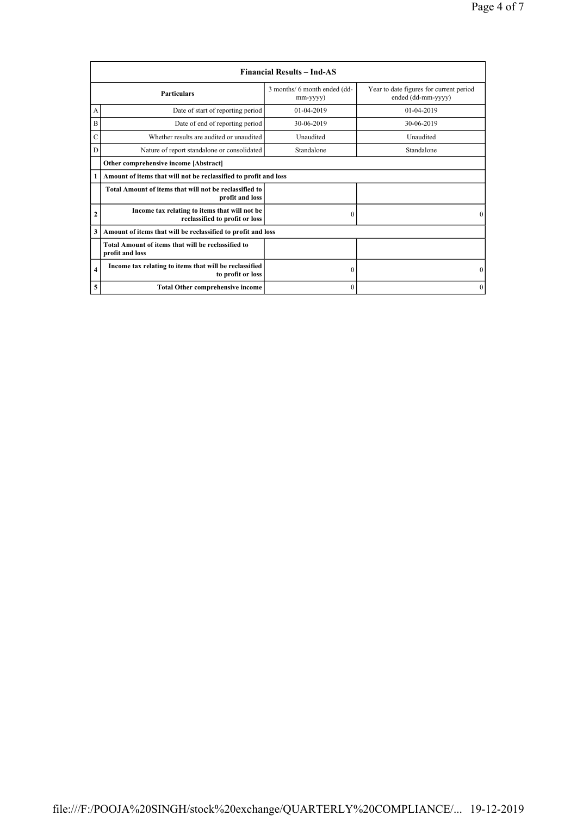|                | <b>Financial Results – Ind-AS</b>                                               |                                          |                                                               |  |
|----------------|---------------------------------------------------------------------------------|------------------------------------------|---------------------------------------------------------------|--|
|                | <b>Particulars</b>                                                              | 3 months/ 6 month ended (dd-<br>mm-yyyy) | Year to date figures for current period<br>ended (dd-mm-yyyy) |  |
| А              | Date of start of reporting period                                               | $01-04-2019$                             | $01-04-2019$                                                  |  |
| B              | Date of end of reporting period                                                 | 30-06-2019                               | 30-06-2019                                                    |  |
| Ċ              | Whether results are audited or unaudited                                        | Unaudited                                | Unaudited                                                     |  |
| D              | Nature of report standalone or consolidated                                     | Standalone                               | Standalone                                                    |  |
|                | Other comprehensive income [Abstract]                                           |                                          |                                                               |  |
| 1              | Amount of items that will not be reclassified to profit and loss                |                                          |                                                               |  |
|                | Total Amount of items that will not be reclassified to<br>profit and loss       |                                          |                                                               |  |
| $\overline{2}$ | Income tax relating to items that will not be<br>reclassified to profit or loss | $\theta$                                 | $\Omega$                                                      |  |
| 3              | Amount of items that will be reclassified to profit and loss                    |                                          |                                                               |  |
|                | Total Amount of items that will be reclassified to<br>profit and loss           |                                          |                                                               |  |
| $\overline{4}$ | Income tax relating to items that will be reclassified<br>to profit or loss     | $\boldsymbol{0}$                         | $\mathbf{0}$                                                  |  |
| 5              | <b>Total Other comprehensive income</b>                                         | $\mathbf{0}$                             | $\mathbf{0}$                                                  |  |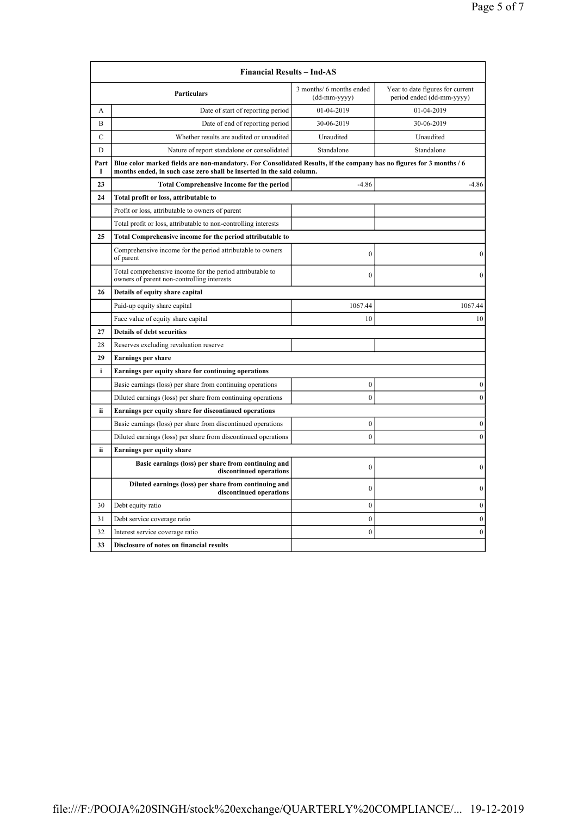|               | <b>Financial Results - Ind-AS</b>                                                                                                                                                             |                                          |                                                               |  |
|---------------|-----------------------------------------------------------------------------------------------------------------------------------------------------------------------------------------------|------------------------------------------|---------------------------------------------------------------|--|
|               | <b>Particulars</b>                                                                                                                                                                            | 3 months/ 6 months ended<br>(dd-mm-yyyy) | Year to date figures for current<br>period ended (dd-mm-yyyy) |  |
| А             | Date of start of reporting period                                                                                                                                                             | 01-04-2019                               | 01-04-2019                                                    |  |
| B             | Date of end of reporting period                                                                                                                                                               | 30-06-2019                               | 30-06-2019                                                    |  |
| $\mathcal{C}$ | Whether results are audited or unaudited                                                                                                                                                      | Unaudited                                | Unaudited                                                     |  |
| D             | Nature of report standalone or consolidated                                                                                                                                                   | Standalone                               | Standalone                                                    |  |
| Part<br>I     | Blue color marked fields are non-mandatory. For Consolidated Results, if the company has no figures for 3 months / 6<br>months ended, in such case zero shall be inserted in the said column. |                                          |                                                               |  |
| 23            | <b>Total Comprehensive Income for the period</b>                                                                                                                                              | $-4.86$                                  | $-4.86$                                                       |  |
| 24            | Total profit or loss, attributable to                                                                                                                                                         |                                          |                                                               |  |
|               | Profit or loss, attributable to owners of parent                                                                                                                                              |                                          |                                                               |  |
|               | Total profit or loss, attributable to non-controlling interests                                                                                                                               |                                          |                                                               |  |
| 25            | Total Comprehensive income for the period attributable to                                                                                                                                     |                                          |                                                               |  |
|               | Comprehensive income for the period attributable to owners<br>of parent                                                                                                                       | $\theta$                                 | $\boldsymbol{0}$                                              |  |
|               | Total comprehensive income for the period attributable to<br>owners of parent non-controlling interests                                                                                       | $\mathbf{0}$                             | $\theta$                                                      |  |
| 26            | Details of equity share capital                                                                                                                                                               |                                          |                                                               |  |
|               | Paid-up equity share capital                                                                                                                                                                  | 1067.44                                  | 1067.44                                                       |  |
|               | Face value of equity share capital                                                                                                                                                            | 10                                       | 10                                                            |  |
| 27            | <b>Details of debt securities</b>                                                                                                                                                             |                                          |                                                               |  |
| 28            | Reserves excluding revaluation reserve                                                                                                                                                        |                                          |                                                               |  |
| 29            | <b>Earnings per share</b>                                                                                                                                                                     |                                          |                                                               |  |
| i             | Earnings per equity share for continuing operations                                                                                                                                           |                                          |                                                               |  |
|               | Basic earnings (loss) per share from continuing operations                                                                                                                                    | $\mathbf{0}$                             | $\mathbf{0}$                                                  |  |
|               | Diluted earnings (loss) per share from continuing operations                                                                                                                                  | $\overline{0}$                           | $\mathbf{0}$                                                  |  |
| ii            | Earnings per equity share for discontinued operations                                                                                                                                         |                                          |                                                               |  |
|               | Basic earnings (loss) per share from discontinued operations                                                                                                                                  | $\mathbf{0}$                             | $\boldsymbol{0}$                                              |  |
|               | Diluted earnings (loss) per share from discontinued operations                                                                                                                                | $\mathbf{0}$                             | $\mathbf{0}$                                                  |  |
| ii            | <b>Earnings per equity share</b>                                                                                                                                                              |                                          |                                                               |  |
|               | Basic earnings (loss) per share from continuing and<br>discontinued operations                                                                                                                | $\boldsymbol{0}$                         | $\boldsymbol{0}$                                              |  |
|               | Diluted earnings (loss) per share from continuing and<br>discontinued operations                                                                                                              | $\mathbf{0}$                             | $\theta$                                                      |  |
| 30            | Debt equity ratio                                                                                                                                                                             | $\boldsymbol{0}$                         | $\boldsymbol{0}$                                              |  |
| 31            | Debt service coverage ratio                                                                                                                                                                   | $\mathbf{0}$                             | $\mathbf{0}$                                                  |  |
| 32            | Interest service coverage ratio                                                                                                                                                               | $\mathbf{0}$                             | $\mathbf{0}$                                                  |  |
| 33            | Disclosure of notes on financial results                                                                                                                                                      |                                          |                                                               |  |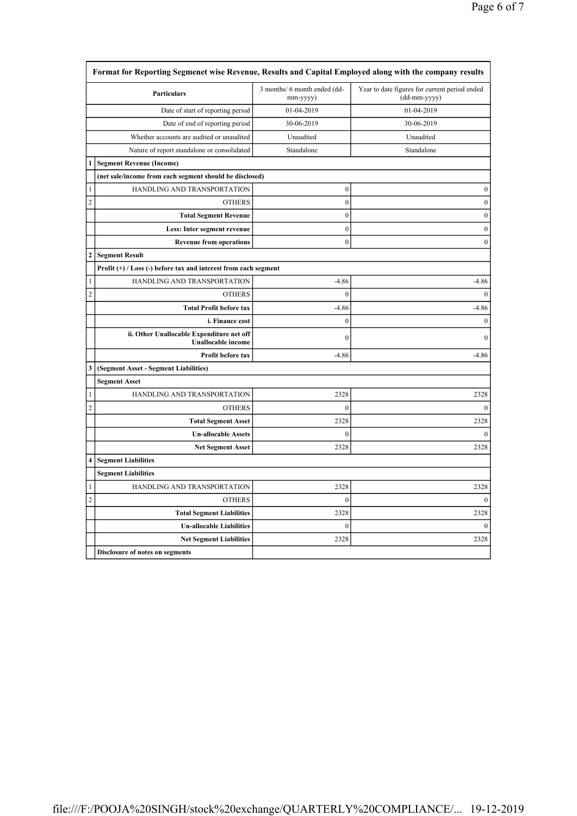| Format for Reporting Segmenet wise Revenue, Results and Capital Employed along with the company results |                                                                        |                                          |                                                               |
|---------------------------------------------------------------------------------------------------------|------------------------------------------------------------------------|------------------------------------------|---------------------------------------------------------------|
|                                                                                                         | <b>Particulars</b>                                                     | 3 months/ 6 month ended (dd-<br>mm-yyyy) | Year to date figures for current period ended<br>(dd-mm-yyyy) |
|                                                                                                         | Date of start of reporting period                                      | 01-04-2019                               | 01-04-2019                                                    |
|                                                                                                         | Date of end of reporting period                                        | 30-06-2019                               | 30-06-2019                                                    |
|                                                                                                         | Whether accounts are audited or unaudited                              | Unaudited                                | Unaudited                                                     |
|                                                                                                         | Nature of report standalone or consolidated                            | Standalone                               | Standalone                                                    |
| 1                                                                                                       | <b>Segment Revenue (Income)</b>                                        |                                          |                                                               |
|                                                                                                         | (net sale/income from each segment should be disclosed)                |                                          |                                                               |
| 1                                                                                                       | HANDLING AND TRANSPORTATION                                            | $\boldsymbol{0}$                         | $\boldsymbol{0}$                                              |
| $\overline{c}$                                                                                          | <b>OTHERS</b>                                                          | $\boldsymbol{0}$                         | $\boldsymbol{0}$                                              |
|                                                                                                         | <b>Total Segment Revenue</b>                                           | $\mathbf{0}$                             | $\boldsymbol{0}$                                              |
|                                                                                                         | Less: Inter segment revenue                                            | $\mathbf{0}$                             | $\boldsymbol{0}$                                              |
|                                                                                                         | <b>Revenue from operations</b>                                         | 0                                        | $\boldsymbol{0}$                                              |
| 2                                                                                                       | <b>Segment Result</b>                                                  |                                          |                                                               |
|                                                                                                         | Profit $(+)$ / Loss $(-)$ before tax and interest from each segment    |                                          |                                                               |
| 1                                                                                                       | HANDLING AND TRANSPORTATION                                            | $-4.86$                                  | $-4.86$                                                       |
| $\overline{c}$                                                                                          | <b>OTHERS</b>                                                          | $\theta$                                 | $\theta$                                                      |
|                                                                                                         | <b>Total Profit before tax</b>                                         | $-4.86$                                  | $-4.86$                                                       |
|                                                                                                         | i. Finance cost                                                        | $\mathbf{0}$                             | $\mathbf{0}$                                                  |
|                                                                                                         | ii. Other Unallocable Expenditure net off<br><b>Unallocable</b> income | $\boldsymbol{0}$                         | $\theta$                                                      |
|                                                                                                         | Profit before tax                                                      | $-4.86$                                  | $-4.86$                                                       |
| 3                                                                                                       | (Segment Asset - Segment Liabilities)                                  |                                          |                                                               |
|                                                                                                         | <b>Segment Asset</b>                                                   |                                          |                                                               |
| 1                                                                                                       | HANDLING AND TRANSPORTATION                                            | 2328                                     | 2328                                                          |
| $\overline{c}$                                                                                          | <b>OTHERS</b>                                                          | $\boldsymbol{0}$                         | $\boldsymbol{0}$                                              |
|                                                                                                         | <b>Total Segment Asset</b>                                             | 2328                                     | 2328                                                          |
|                                                                                                         | <b>Un-allocable Assets</b>                                             | $\mathbf{0}$                             | $\mathbf{0}$                                                  |
|                                                                                                         | <b>Net Segment Asset</b>                                               | 2328                                     | 2328                                                          |
| 4                                                                                                       | <b>Segment Liabilities</b>                                             |                                          |                                                               |
|                                                                                                         | <b>Segment Liabilities</b>                                             |                                          |                                                               |
| 1                                                                                                       | HANDLING AND TRANSPORTATION                                            | 2328                                     | 2328                                                          |
| $\overline{c}$                                                                                          | <b>OTHERS</b>                                                          | $\boldsymbol{0}$                         | $\boldsymbol{0}$                                              |
|                                                                                                         | <b>Total Segment Liabilities</b>                                       | 2328                                     | 2328                                                          |
|                                                                                                         | <b>Un-allocable Liabilities</b>                                        | $\boldsymbol{0}$                         | $\mathbf{0}$                                                  |
|                                                                                                         | <b>Net Segment Liabilities</b>                                         | 2328                                     | 2328                                                          |
|                                                                                                         | Disclosure of notes on segments                                        |                                          |                                                               |